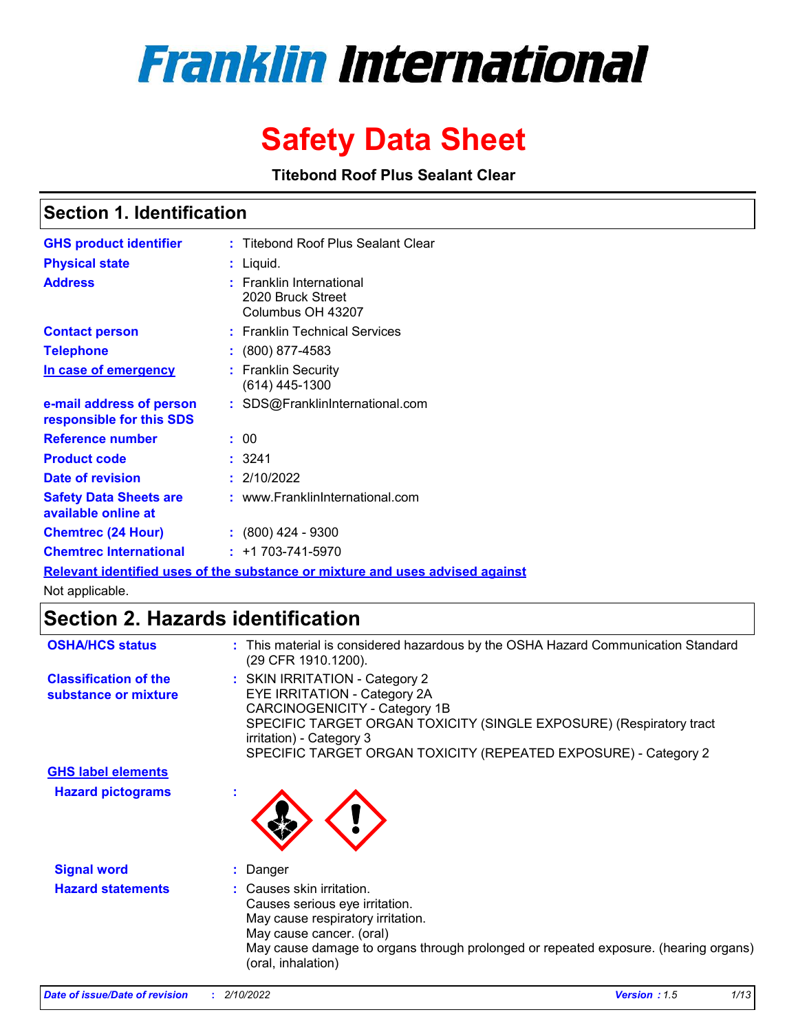# **Franklin International**

## **Safety Data Sheet**

**Titebond Roof Plus Sealant Clear**

### **Section 1. Identification**

| <b>GHS product identifier</b>                        | : Titebond Roof Plus Sealant Clear                                      |
|------------------------------------------------------|-------------------------------------------------------------------------|
| <b>Physical state</b>                                | : Liquid.                                                               |
| <b>Address</b>                                       | <b>Franklin International</b><br>2020 Bruck Street<br>Columbus OH 43207 |
| <b>Contact person</b>                                | : Franklin Technical Services                                           |
| <b>Telephone</b>                                     | : (800) 877-4583                                                        |
| In case of emergency                                 | <b>Franklin Security</b><br>(614) 445-1300                              |
| e-mail address of person<br>responsible for this SDS | : SDS@FranklinInternational.com                                         |
| Reference number                                     | : 00                                                                    |
| <b>Product code</b>                                  | : 3241                                                                  |
| Date of revision                                     | : 2/10/2022                                                             |
| <b>Safety Data Sheets are</b><br>available online at | : www.FranklinInternational.com                                         |
| <b>Chemtrec (24 Hour)</b>                            | $: (800)$ 424 - 9300                                                    |
| <b>Chemtrec International</b>                        | $: +1703 - 741 - 5970$                                                  |

**Relevant identified uses of the substance or mixture and uses advised against**

Not applicable.

### **Section 2. Hazards identification**

| <b>OSHA/HCS status</b>                               | : This material is considered hazardous by the OSHA Hazard Communication Standard<br>(29 CFR 1910.1200).                                                                                                                                                              |  |
|------------------------------------------------------|-----------------------------------------------------------------------------------------------------------------------------------------------------------------------------------------------------------------------------------------------------------------------|--|
| <b>Classification of the</b><br>substance or mixture | : SKIN IRRITATION - Category 2<br>EYE IRRITATION - Category 2A<br>CARCINOGENICITY - Category 1B<br>SPECIFIC TARGET ORGAN TOXICITY (SINGLE EXPOSURE) (Respiratory tract<br>irritation) - Category 3<br>SPECIFIC TARGET ORGAN TOXICITY (REPEATED EXPOSURE) - Category 2 |  |
| <b>GHS label elements</b>                            |                                                                                                                                                                                                                                                                       |  |
| <b>Hazard pictograms</b>                             |                                                                                                                                                                                                                                                                       |  |
| <b>Signal word</b>                                   | : Danger                                                                                                                                                                                                                                                              |  |
| <b>Hazard statements</b>                             | : Causes skin irritation.<br>Causes serious eye irritation.<br>May cause respiratory irritation.<br>May cause cancer. (oral)<br>May cause damage to organs through prolonged or repeated exposure. (hearing organs)<br>(oral, inhalation)                             |  |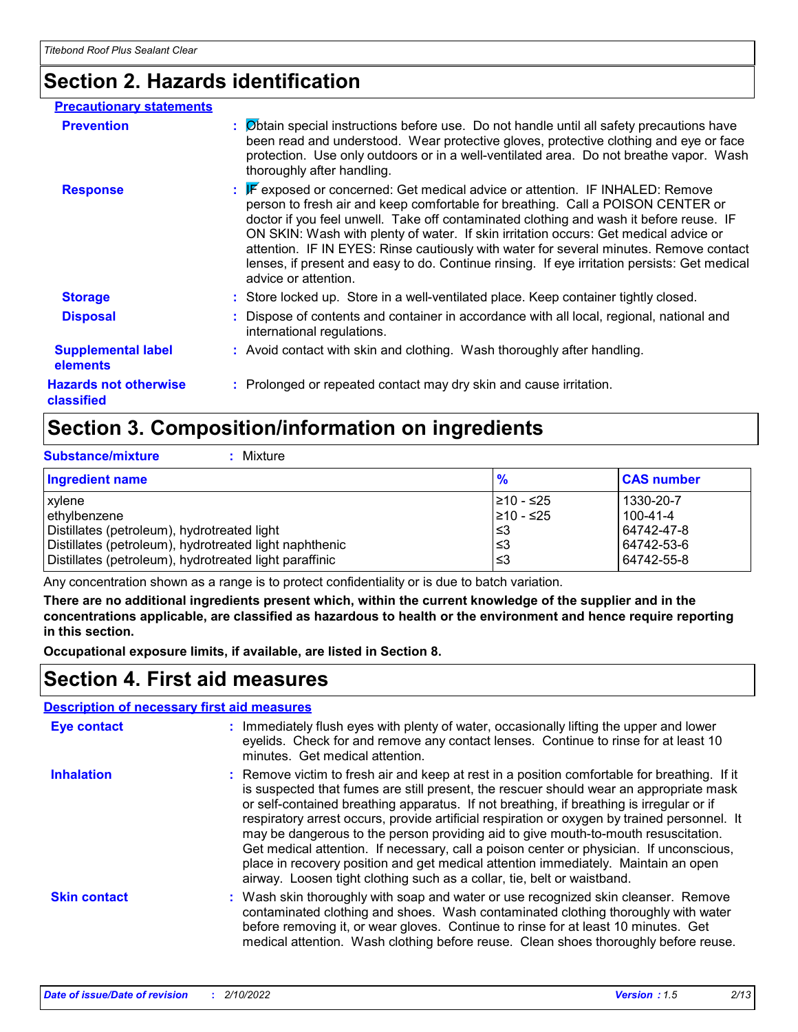### **Section 2. Hazards identification**

| <b>Precautionary statements</b>            |                                                                                                                                                                                                                                                                                                                                                                                                                                                                                                                                                                      |
|--------------------------------------------|----------------------------------------------------------------------------------------------------------------------------------------------------------------------------------------------------------------------------------------------------------------------------------------------------------------------------------------------------------------------------------------------------------------------------------------------------------------------------------------------------------------------------------------------------------------------|
| <b>Prevention</b>                          | : Øbtain special instructions before use. Do not handle until all safety precautions have<br>been read and understood. Wear protective gloves, protective clothing and eye or face<br>protection. Use only outdoors or in a well-ventilated area. Do not breathe vapor. Wash<br>thoroughly after handling.                                                                                                                                                                                                                                                           |
| <b>Response</b>                            | : F exposed or concerned: Get medical advice or attention. IF INHALED: Remove<br>person to fresh air and keep comfortable for breathing. Call a POISON CENTER or<br>doctor if you feel unwell. Take off contaminated clothing and wash it before reuse. IF<br>ON SKIN: Wash with plenty of water. If skin irritation occurs: Get medical advice or<br>attention. IF IN EYES: Rinse cautiously with water for several minutes. Remove contact<br>lenses, if present and easy to do. Continue rinsing. If eye irritation persists: Get medical<br>advice or attention. |
| <b>Storage</b>                             | : Store locked up. Store in a well-ventilated place. Keep container tightly closed.                                                                                                                                                                                                                                                                                                                                                                                                                                                                                  |
| <b>Disposal</b>                            | : Dispose of contents and container in accordance with all local, regional, national and<br>international regulations.                                                                                                                                                                                                                                                                                                                                                                                                                                               |
| <b>Supplemental label</b><br>elements      | : Avoid contact with skin and clothing. Wash thoroughly after handling.                                                                                                                                                                                                                                                                                                                                                                                                                                                                                              |
| <b>Hazards not otherwise</b><br>classified | : Prolonged or repeated contact may dry skin and cause irritation.                                                                                                                                                                                                                                                                                                                                                                                                                                                                                                   |

### **Section 3. Composition/information on ingredients**

|  | Substance/mixture |  |  |
|--|-------------------|--|--|
|  |                   |  |  |

**Substance/mixture :** Mixture

| <b>Ingredient name</b>                                 | $\frac{9}{6}$ | <b>CAS number</b> |
|--------------------------------------------------------|---------------|-------------------|
| <b>xylene</b>                                          | I≥10 - ≤25    | 1330-20-7         |
| ethylbenzene                                           | 210 - ≤25     | 100-41-4          |
| Distillates (petroleum), hydrotreated light            | l≤3           | 64742-47-8        |
| Distillates (petroleum), hydrotreated light naphthenic | l≤3           | 64742-53-6        |
| Distillates (petroleum), hydrotreated light paraffinic | l≤3           | 64742-55-8        |

Any concentration shown as a range is to protect confidentiality or is due to batch variation.

**There are no additional ingredients present which, within the current knowledge of the supplier and in the concentrations applicable, are classified as hazardous to health or the environment and hence require reporting in this section.**

**Occupational exposure limits, if available, are listed in Section 8.**

### **Section 4. First aid measures**

#### **Description of necessary first aid measures**

| <b>Eye contact</b>  | : Immediately flush eyes with plenty of water, occasionally lifting the upper and lower<br>eyelids. Check for and remove any contact lenses. Continue to rinse for at least 10<br>minutes. Get medical attention.                                                                                                                                                                                                                                                                                                                                                                                                                                                                                                                    |
|---------------------|--------------------------------------------------------------------------------------------------------------------------------------------------------------------------------------------------------------------------------------------------------------------------------------------------------------------------------------------------------------------------------------------------------------------------------------------------------------------------------------------------------------------------------------------------------------------------------------------------------------------------------------------------------------------------------------------------------------------------------------|
| <b>Inhalation</b>   | : Remove victim to fresh air and keep at rest in a position comfortable for breathing. If it<br>is suspected that fumes are still present, the rescuer should wear an appropriate mask<br>or self-contained breathing apparatus. If not breathing, if breathing is irregular or if<br>respiratory arrest occurs, provide artificial respiration or oxygen by trained personnel. It<br>may be dangerous to the person providing aid to give mouth-to-mouth resuscitation.<br>Get medical attention. If necessary, call a poison center or physician. If unconscious,<br>place in recovery position and get medical attention immediately. Maintain an open<br>airway. Loosen tight clothing such as a collar, tie, belt or waistband. |
| <b>Skin contact</b> | : Wash skin thoroughly with soap and water or use recognized skin cleanser. Remove<br>contaminated clothing and shoes. Wash contaminated clothing thoroughly with water<br>before removing it, or wear gloves. Continue to rinse for at least 10 minutes. Get<br>medical attention. Wash clothing before reuse. Clean shoes thoroughly before reuse.                                                                                                                                                                                                                                                                                                                                                                                 |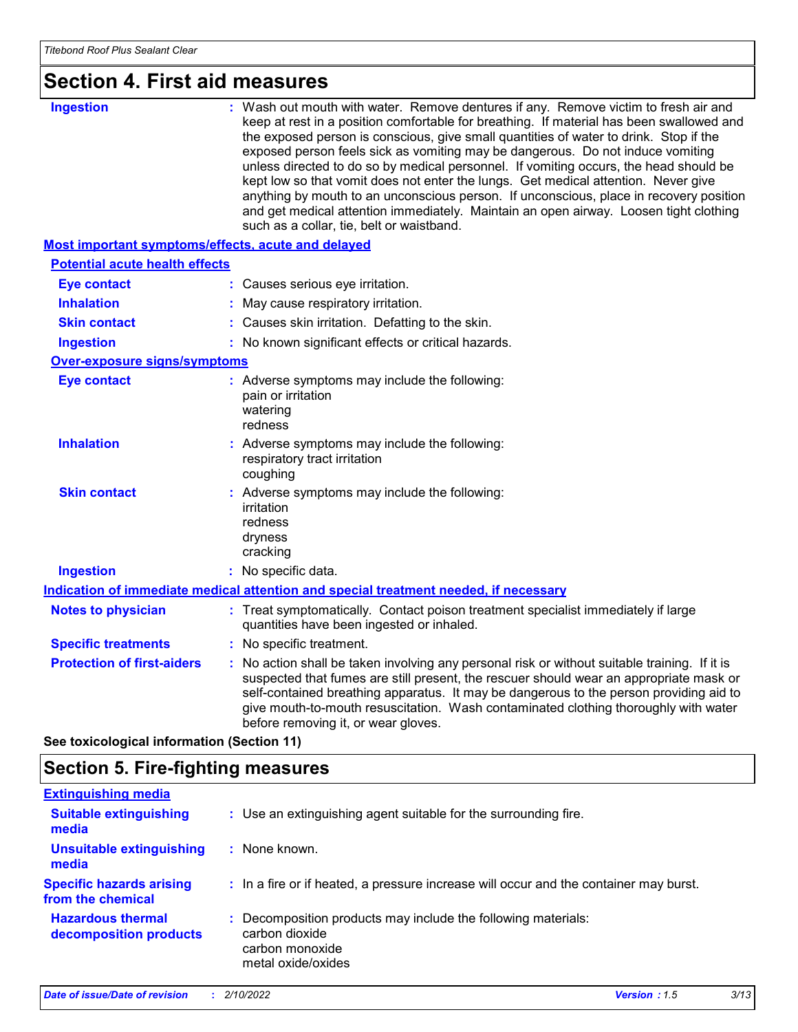### **Section 4. First aid measures**

| <b>Ingestion</b>                                          | : Wash out mouth with water. Remove dentures if any. Remove victim to fresh air and<br>keep at rest in a position comfortable for breathing. If material has been swallowed and<br>the exposed person is conscious, give small quantities of water to drink. Stop if the<br>exposed person feels sick as vomiting may be dangerous. Do not induce vomiting<br>unless directed to do so by medical personnel. If vomiting occurs, the head should be<br>kept low so that vomit does not enter the lungs. Get medical attention. Never give<br>anything by mouth to an unconscious person. If unconscious, place in recovery position<br>and get medical attention immediately. Maintain an open airway. Loosen tight clothing<br>such as a collar, tie, belt or waistband. |
|-----------------------------------------------------------|---------------------------------------------------------------------------------------------------------------------------------------------------------------------------------------------------------------------------------------------------------------------------------------------------------------------------------------------------------------------------------------------------------------------------------------------------------------------------------------------------------------------------------------------------------------------------------------------------------------------------------------------------------------------------------------------------------------------------------------------------------------------------|
| <b>Most important symptoms/effects, acute and delayed</b> |                                                                                                                                                                                                                                                                                                                                                                                                                                                                                                                                                                                                                                                                                                                                                                           |
| <b>Potential acute health effects</b>                     |                                                                                                                                                                                                                                                                                                                                                                                                                                                                                                                                                                                                                                                                                                                                                                           |
| <b>Eye contact</b>                                        | : Causes serious eye irritation.                                                                                                                                                                                                                                                                                                                                                                                                                                                                                                                                                                                                                                                                                                                                          |
| <b>Inhalation</b>                                         | May cause respiratory irritation.                                                                                                                                                                                                                                                                                                                                                                                                                                                                                                                                                                                                                                                                                                                                         |
| <b>Skin contact</b>                                       | : Causes skin irritation. Defatting to the skin.                                                                                                                                                                                                                                                                                                                                                                                                                                                                                                                                                                                                                                                                                                                          |
| <b>Ingestion</b>                                          | : No known significant effects or critical hazards.                                                                                                                                                                                                                                                                                                                                                                                                                                                                                                                                                                                                                                                                                                                       |
| <b>Over-exposure signs/symptoms</b>                       |                                                                                                                                                                                                                                                                                                                                                                                                                                                                                                                                                                                                                                                                                                                                                                           |
| <b>Eye contact</b>                                        | : Adverse symptoms may include the following:<br>pain or irritation<br>watering<br>redness                                                                                                                                                                                                                                                                                                                                                                                                                                                                                                                                                                                                                                                                                |
| <b>Inhalation</b>                                         | : Adverse symptoms may include the following:<br>respiratory tract irritation<br>coughing                                                                                                                                                                                                                                                                                                                                                                                                                                                                                                                                                                                                                                                                                 |
| <b>Skin contact</b>                                       | : Adverse symptoms may include the following:<br>irritation<br>redness<br>dryness<br>cracking                                                                                                                                                                                                                                                                                                                                                                                                                                                                                                                                                                                                                                                                             |
| <b>Ingestion</b>                                          | : No specific data.                                                                                                                                                                                                                                                                                                                                                                                                                                                                                                                                                                                                                                                                                                                                                       |
|                                                           | Indication of immediate medical attention and special treatment needed, if necessary                                                                                                                                                                                                                                                                                                                                                                                                                                                                                                                                                                                                                                                                                      |
| <b>Notes to physician</b>                                 | : Treat symptomatically. Contact poison treatment specialist immediately if large<br>quantities have been ingested or inhaled.                                                                                                                                                                                                                                                                                                                                                                                                                                                                                                                                                                                                                                            |
| <b>Specific treatments</b>                                | : No specific treatment.                                                                                                                                                                                                                                                                                                                                                                                                                                                                                                                                                                                                                                                                                                                                                  |
| <b>Protection of first-aiders</b>                         | No action shall be taken involving any personal risk or without suitable training. If it is<br>suspected that fumes are still present, the rescuer should wear an appropriate mask or<br>self-contained breathing apparatus. It may be dangerous to the person providing aid to<br>give mouth-to-mouth resuscitation. Wash contaminated clothing thoroughly with water<br>before removing it, or wear gloves.                                                                                                                                                                                                                                                                                                                                                             |

**See toxicological information (Section 11)**

### **Section 5. Fire-fighting measures**

| <b>Extinguishing media</b>                           |    |                                                                                                                          |
|------------------------------------------------------|----|--------------------------------------------------------------------------------------------------------------------------|
| <b>Suitable extinguishing</b><br>media               |    | : Use an extinguishing agent suitable for the surrounding fire.                                                          |
| <b>Unsuitable extinguishing</b><br>media             | ÷. | None known.                                                                                                              |
| <b>Specific hazards arising</b><br>from the chemical |    | : In a fire or if heated, a pressure increase will occur and the container may burst.                                    |
| <b>Hazardous thermal</b><br>decomposition products   |    | : Decomposition products may include the following materials:<br>carbon dioxide<br>carbon monoxide<br>metal oxide/oxides |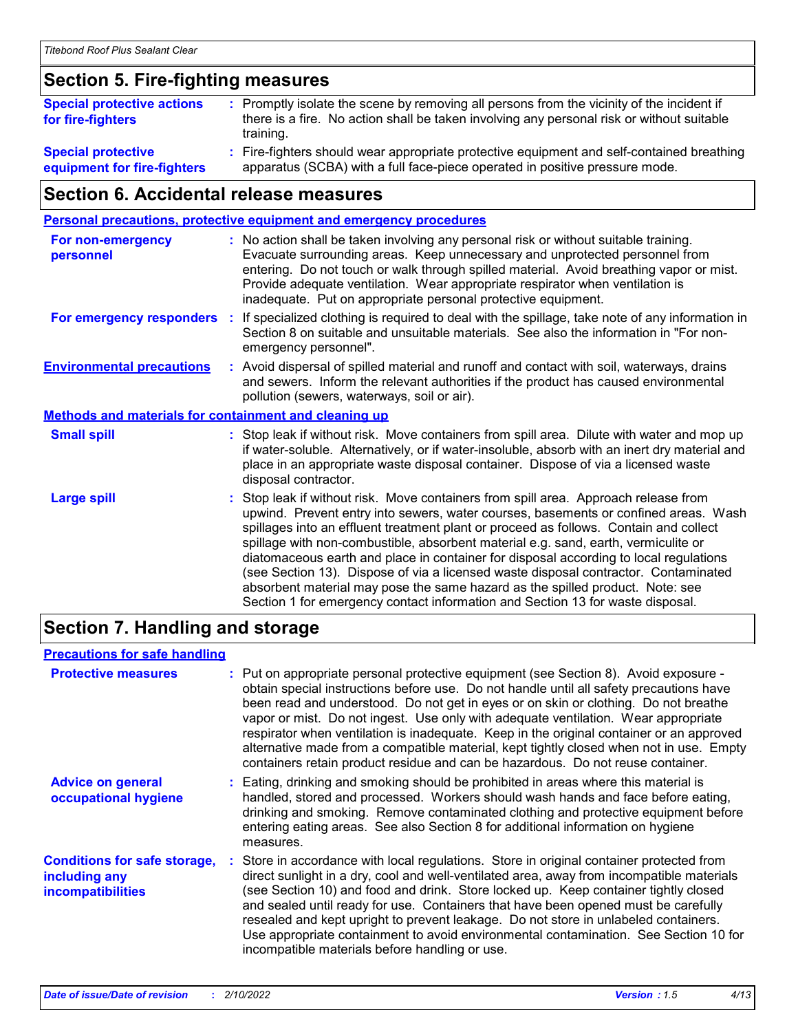### **Section 5. Fire-fighting measures**

| <b>Special protective actions</b><br>for fire-fighters   | : Promptly isolate the scene by removing all persons from the vicinity of the incident if<br>there is a fire. No action shall be taken involving any personal risk or without suitable<br>training. |
|----------------------------------------------------------|-----------------------------------------------------------------------------------------------------------------------------------------------------------------------------------------------------|
| <b>Special protective</b><br>equipment for fire-fighters | Fire-fighters should wear appropriate protective equipment and self-contained breathing<br>apparatus (SCBA) with a full face-piece operated in positive pressure mode.                              |

### **Section 6. Accidental release measures**

|                                                       | Personal precautions, protective equipment and emergency procedures                                                                                                                                                                                                                                                                                                                                                                                                                                                                                                                                                                                                                                          |
|-------------------------------------------------------|--------------------------------------------------------------------------------------------------------------------------------------------------------------------------------------------------------------------------------------------------------------------------------------------------------------------------------------------------------------------------------------------------------------------------------------------------------------------------------------------------------------------------------------------------------------------------------------------------------------------------------------------------------------------------------------------------------------|
| For non-emergency<br>personnel                        | : No action shall be taken involving any personal risk or without suitable training.<br>Evacuate surrounding areas. Keep unnecessary and unprotected personnel from<br>entering. Do not touch or walk through spilled material. Avoid breathing vapor or mist.<br>Provide adequate ventilation. Wear appropriate respirator when ventilation is<br>inadequate. Put on appropriate personal protective equipment.                                                                                                                                                                                                                                                                                             |
| For emergency responders                              | : If specialized clothing is required to deal with the spillage, take note of any information in<br>Section 8 on suitable and unsuitable materials. See also the information in "For non-<br>emergency personnel".                                                                                                                                                                                                                                                                                                                                                                                                                                                                                           |
| <b>Environmental precautions</b>                      | : Avoid dispersal of spilled material and runoff and contact with soil, waterways, drains<br>and sewers. Inform the relevant authorities if the product has caused environmental<br>pollution (sewers, waterways, soil or air).                                                                                                                                                                                                                                                                                                                                                                                                                                                                              |
| Methods and materials for containment and cleaning up |                                                                                                                                                                                                                                                                                                                                                                                                                                                                                                                                                                                                                                                                                                              |
| <b>Small spill</b>                                    | : Stop leak if without risk. Move containers from spill area. Dilute with water and mop up<br>if water-soluble. Alternatively, or if water-insoluble, absorb with an inert dry material and<br>place in an appropriate waste disposal container. Dispose of via a licensed waste<br>disposal contractor.                                                                                                                                                                                                                                                                                                                                                                                                     |
| <b>Large spill</b>                                    | : Stop leak if without risk. Move containers from spill area. Approach release from<br>upwind. Prevent entry into sewers, water courses, basements or confined areas. Wash<br>spillages into an effluent treatment plant or proceed as follows. Contain and collect<br>spillage with non-combustible, absorbent material e.g. sand, earth, vermiculite or<br>diatomaceous earth and place in container for disposal according to local regulations<br>(see Section 13). Dispose of via a licensed waste disposal contractor. Contaminated<br>absorbent material may pose the same hazard as the spilled product. Note: see<br>Section 1 for emergency contact information and Section 13 for waste disposal. |

### **Section 7. Handling and storage**

#### **Precautions for safe handling**

| <b>Protective measures</b>                                                       | : Put on appropriate personal protective equipment (see Section 8). Avoid exposure -<br>obtain special instructions before use. Do not handle until all safety precautions have<br>been read and understood. Do not get in eyes or on skin or clothing. Do not breathe<br>vapor or mist. Do not ingest. Use only with adequate ventilation. Wear appropriate<br>respirator when ventilation is inadequate. Keep in the original container or an approved<br>alternative made from a compatible material, kept tightly closed when not in use. Empty<br>containers retain product residue and can be hazardous. Do not reuse container. |  |
|----------------------------------------------------------------------------------|----------------------------------------------------------------------------------------------------------------------------------------------------------------------------------------------------------------------------------------------------------------------------------------------------------------------------------------------------------------------------------------------------------------------------------------------------------------------------------------------------------------------------------------------------------------------------------------------------------------------------------------|--|
| <b>Advice on general</b><br>occupational hygiene                                 | : Eating, drinking and smoking should be prohibited in areas where this material is<br>handled, stored and processed. Workers should wash hands and face before eating,<br>drinking and smoking. Remove contaminated clothing and protective equipment before<br>entering eating areas. See also Section 8 for additional information on hygiene<br>measures.                                                                                                                                                                                                                                                                          |  |
| <b>Conditions for safe storage,</b><br>including any<br><b>incompatibilities</b> | : Store in accordance with local regulations. Store in original container protected from<br>direct sunlight in a dry, cool and well-ventilated area, away from incompatible materials<br>(see Section 10) and food and drink. Store locked up. Keep container tightly closed<br>and sealed until ready for use. Containers that have been opened must be carefully<br>resealed and kept upright to prevent leakage. Do not store in unlabeled containers.<br>Use appropriate containment to avoid environmental contamination. See Section 10 for<br>incompatible materials before handling or use.                                    |  |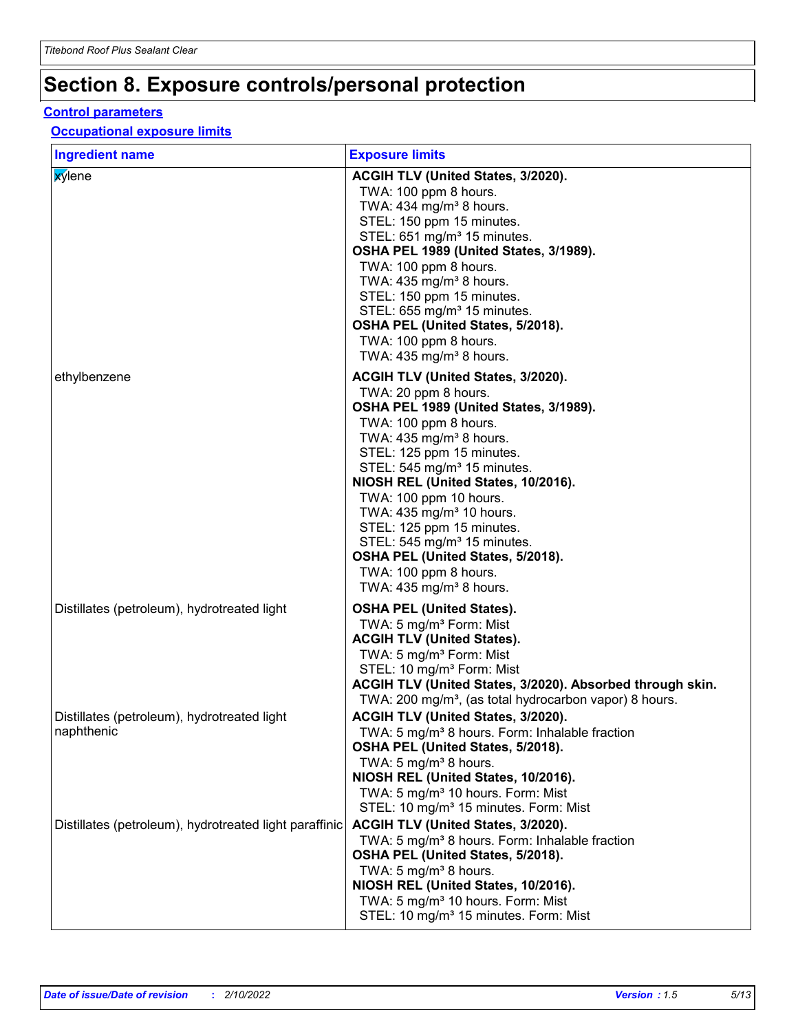### **Section 8. Exposure controls/personal protection**

#### **Control parameters**

#### **Occupational exposure limits**

| <b>Ingredient name</b>                                    | <b>Exposure limits</b>                                                                                                                                                                                                                                                                                                                                                                                                                                                                                                                   |
|-----------------------------------------------------------|------------------------------------------------------------------------------------------------------------------------------------------------------------------------------------------------------------------------------------------------------------------------------------------------------------------------------------------------------------------------------------------------------------------------------------------------------------------------------------------------------------------------------------------|
| xylene                                                    | <b>ACGIH TLV (United States, 3/2020).</b><br>TWA: 100 ppm 8 hours.<br>TWA: 434 mg/m <sup>3</sup> 8 hours.<br>STEL: 150 ppm 15 minutes.<br>STEL: 651 mg/m <sup>3</sup> 15 minutes.<br>OSHA PEL 1989 (United States, 3/1989).<br>TWA: 100 ppm 8 hours.<br>TWA: 435 mg/m <sup>3</sup> 8 hours.<br>STEL: 150 ppm 15 minutes.<br>STEL: 655 mg/m <sup>3</sup> 15 minutes.<br>OSHA PEL (United States, 5/2018).<br>TWA: 100 ppm 8 hours.<br>TWA: $435 \text{ mg/m}^3$ 8 hours.                                                                  |
| ethylbenzene                                              | <b>ACGIH TLV (United States, 3/2020).</b><br>TWA: 20 ppm 8 hours.<br>OSHA PEL 1989 (United States, 3/1989).<br>TWA: 100 ppm 8 hours.<br>TWA: 435 mg/m <sup>3</sup> 8 hours.<br>STEL: 125 ppm 15 minutes.<br>STEL: 545 mg/m <sup>3</sup> 15 minutes.<br>NIOSH REL (United States, 10/2016).<br>TWA: 100 ppm 10 hours.<br>TWA: 435 mg/m <sup>3</sup> 10 hours.<br>STEL: 125 ppm 15 minutes.<br>STEL: 545 mg/m <sup>3</sup> 15 minutes.<br>OSHA PEL (United States, 5/2018).<br>TWA: 100 ppm 8 hours.<br>TWA: $435 \text{ mg/m}^3$ 8 hours. |
| Distillates (petroleum), hydrotreated light               | <b>OSHA PEL (United States).</b><br>TWA: 5 mg/m <sup>3</sup> Form: Mist<br><b>ACGIH TLV (United States).</b><br>TWA: 5 mg/m <sup>3</sup> Form: Mist<br>STEL: 10 mg/m <sup>3</sup> Form: Mist<br>ACGIH TLV (United States, 3/2020). Absorbed through skin.<br>TWA: 200 mg/m <sup>3</sup> , (as total hydrocarbon vapor) 8 hours.                                                                                                                                                                                                          |
| Distillates (petroleum), hydrotreated light<br>naphthenic | ACGIH TLV (United States, 3/2020).<br>TWA: 5 mg/m <sup>3</sup> 8 hours. Form: Inhalable fraction<br>OSHA PEL (United States, 5/2018).<br>TWA: 5 mg/m <sup>3</sup> 8 hours.<br>NIOSH REL (United States, 10/2016).<br>TWA: 5 mg/m <sup>3</sup> 10 hours. Form: Mist<br>STEL: 10 mg/m <sup>3</sup> 15 minutes. Form: Mist                                                                                                                                                                                                                  |
| Distillates (petroleum), hydrotreated light paraffinic    | ACGIH TLV (United States, 3/2020).<br>TWA: 5 mg/m <sup>3</sup> 8 hours. Form: Inhalable fraction<br>OSHA PEL (United States, 5/2018).<br>TWA: 5 mg/m <sup>3</sup> 8 hours.<br>NIOSH REL (United States, 10/2016).<br>TWA: 5 mg/m <sup>3</sup> 10 hours. Form: Mist<br>STEL: 10 mg/m <sup>3</sup> 15 minutes. Form: Mist                                                                                                                                                                                                                  |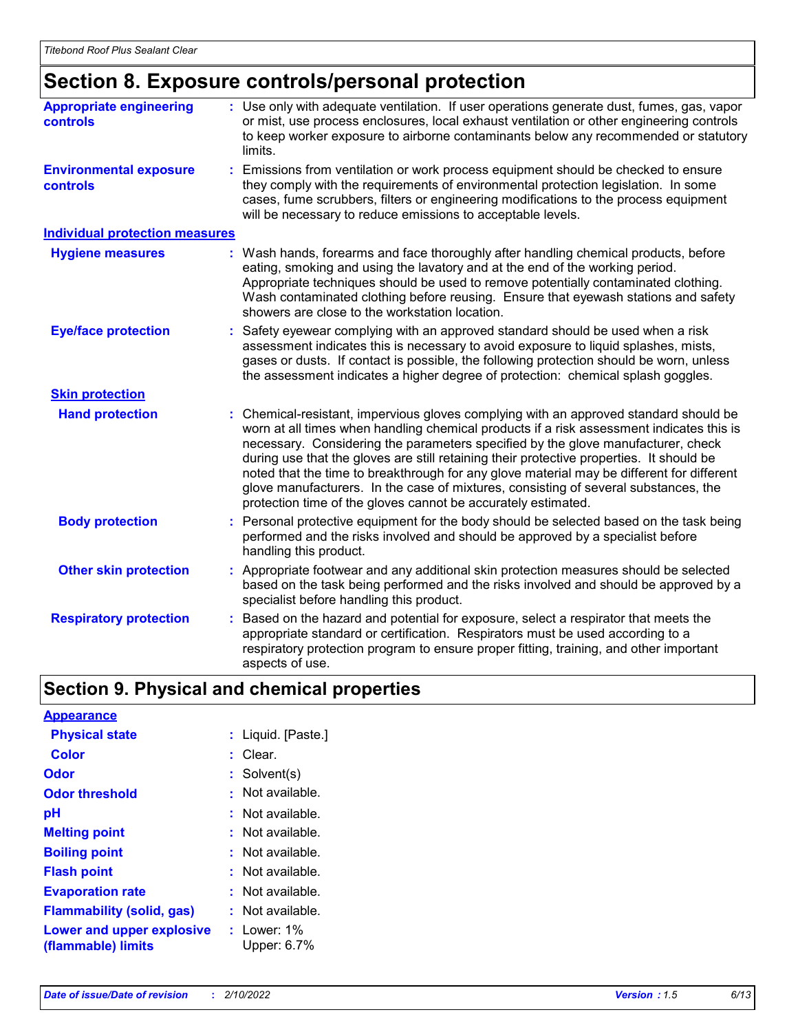### **Section 8. Exposure controls/personal protection**

| <b>Appropriate engineering</b><br>controls | : Use only with adequate ventilation. If user operations generate dust, fumes, gas, vapor<br>or mist, use process enclosures, local exhaust ventilation or other engineering controls<br>to keep worker exposure to airborne contaminants below any recommended or statutory<br>limits.                                                                                                                                                                                                                                                                                                                                |
|--------------------------------------------|------------------------------------------------------------------------------------------------------------------------------------------------------------------------------------------------------------------------------------------------------------------------------------------------------------------------------------------------------------------------------------------------------------------------------------------------------------------------------------------------------------------------------------------------------------------------------------------------------------------------|
| <b>Environmental exposure</b><br>controls  | : Emissions from ventilation or work process equipment should be checked to ensure<br>they comply with the requirements of environmental protection legislation. In some<br>cases, fume scrubbers, filters or engineering modifications to the process equipment<br>will be necessary to reduce emissions to acceptable levels.                                                                                                                                                                                                                                                                                        |
| <b>Individual protection measures</b>      |                                                                                                                                                                                                                                                                                                                                                                                                                                                                                                                                                                                                                        |
| <b>Hygiene measures</b>                    | : Wash hands, forearms and face thoroughly after handling chemical products, before<br>eating, smoking and using the lavatory and at the end of the working period.<br>Appropriate techniques should be used to remove potentially contaminated clothing.<br>Wash contaminated clothing before reusing. Ensure that eyewash stations and safety<br>showers are close to the workstation location.                                                                                                                                                                                                                      |
| <b>Eye/face protection</b>                 | : Safety eyewear complying with an approved standard should be used when a risk<br>assessment indicates this is necessary to avoid exposure to liquid splashes, mists,<br>gases or dusts. If contact is possible, the following protection should be worn, unless<br>the assessment indicates a higher degree of protection: chemical splash goggles.                                                                                                                                                                                                                                                                  |
| <b>Skin protection</b>                     |                                                                                                                                                                                                                                                                                                                                                                                                                                                                                                                                                                                                                        |
| <b>Hand protection</b>                     | : Chemical-resistant, impervious gloves complying with an approved standard should be<br>worn at all times when handling chemical products if a risk assessment indicates this is<br>necessary. Considering the parameters specified by the glove manufacturer, check<br>during use that the gloves are still retaining their protective properties. It should be<br>noted that the time to breakthrough for any glove material may be different for different<br>glove manufacturers. In the case of mixtures, consisting of several substances, the<br>protection time of the gloves cannot be accurately estimated. |
| <b>Body protection</b>                     | Personal protective equipment for the body should be selected based on the task being<br>performed and the risks involved and should be approved by a specialist before<br>handling this product.                                                                                                                                                                                                                                                                                                                                                                                                                      |
| <b>Other skin protection</b>               | : Appropriate footwear and any additional skin protection measures should be selected<br>based on the task being performed and the risks involved and should be approved by a<br>specialist before handling this product.                                                                                                                                                                                                                                                                                                                                                                                              |
| <b>Respiratory protection</b>              | : Based on the hazard and potential for exposure, select a respirator that meets the<br>appropriate standard or certification. Respirators must be used according to a<br>respiratory protection program to ensure proper fitting, training, and other important<br>aspects of use.                                                                                                                                                                                                                                                                                                                                    |

### **Section 9. Physical and chemical properties**

| <b>Appearance</b>                               |                              |
|-------------------------------------------------|------------------------------|
| <b>Physical state</b>                           | : Liquid. [Paste.]           |
| Color                                           | Clear.                       |
| <b>Odor</b>                                     | Solvent(s)<br>t.             |
| <b>Odor threshold</b>                           | Not available.               |
| рH                                              | $:$ Not available.           |
| <b>Melting point</b>                            | : Not available.             |
| <b>Boiling point</b>                            | : Not available.             |
| <b>Flash point</b>                              | : Not available.             |
| <b>Evaporation rate</b>                         | : Not available.             |
| <b>Flammability (solid, gas)</b>                | $:$ Not available.           |
| Lower and upper explosive<br>(flammable) limits | $:$ Lower: 1%<br>Upper: 6.7% |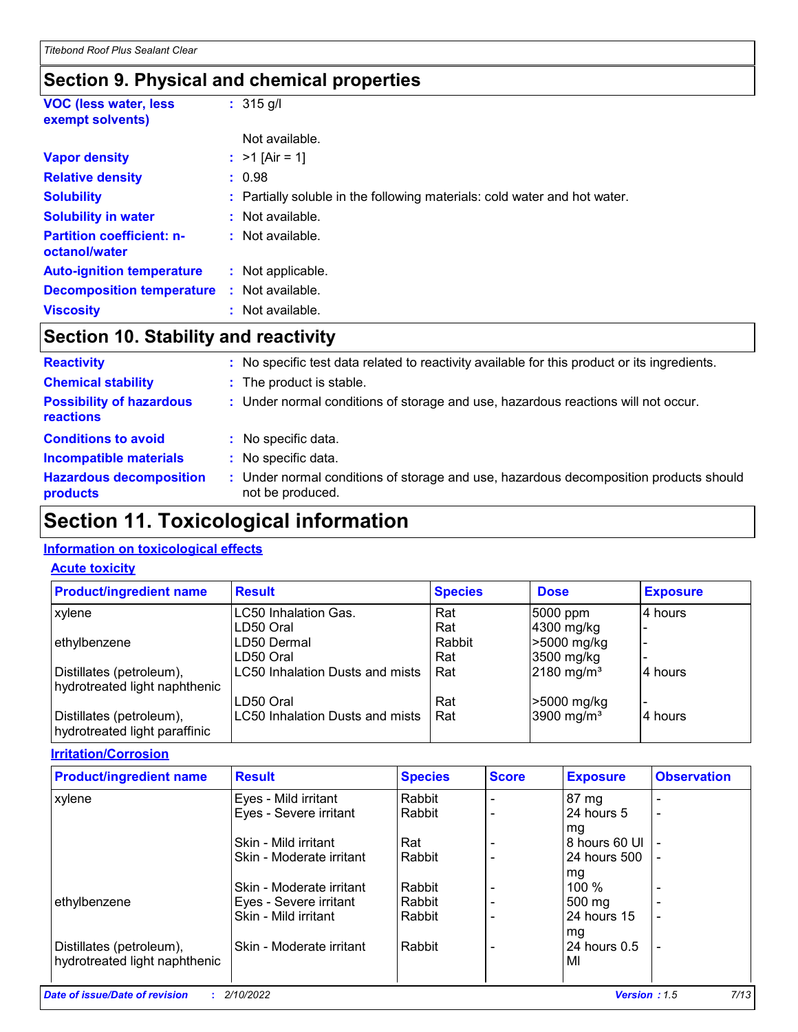### **Section 9. Physical and chemical properties**

| <b>VOC (less water, less)</b><br>exempt solvents) | $: 315$ g/l                                                               |
|---------------------------------------------------|---------------------------------------------------------------------------|
|                                                   | Not available.                                                            |
| <b>Vapor density</b>                              | : $>1$ [Air = 1]                                                          |
| <b>Relative density</b>                           | : 0.98                                                                    |
| <b>Solubility</b>                                 | : Partially soluble in the following materials: cold water and hot water. |
| <b>Solubility in water</b>                        | : Not available.                                                          |
| <b>Partition coefficient: n-</b><br>octanol/water | : Not available.                                                          |
| <b>Auto-ignition temperature</b>                  | : Not applicable.                                                         |
| <b>Decomposition temperature</b>                  | : Not available.                                                          |
| <b>Viscosity</b>                                  | : Not available.                                                          |

### **Section 10. Stability and reactivity**

| <b>Reactivity</b>                            |    | : No specific test data related to reactivity available for this product or its ingredients.              |
|----------------------------------------------|----|-----------------------------------------------------------------------------------------------------------|
| <b>Chemical stability</b>                    |    | : The product is stable.                                                                                  |
| <b>Possibility of hazardous</b><br>reactions |    | : Under normal conditions of storage and use, hazardous reactions will not occur.                         |
| <b>Conditions to avoid</b>                   |    | : No specific data.                                                                                       |
| <b>Incompatible materials</b>                | ÷. | No specific data.                                                                                         |
| <b>Hazardous decomposition</b><br>products   |    | : Under normal conditions of storage and use, hazardous decomposition products should<br>not be produced. |

### **Section 11. Toxicological information**

#### **Information on toxicological effects**

#### **Acute toxicity**

| <b>Product/ingredient name</b>                            | <b>Result</b>                   | <b>Species</b> | <b>Dose</b>              | <b>Exposure</b> |
|-----------------------------------------------------------|---------------------------------|----------------|--------------------------|-----------------|
| xylene                                                    | LC50 Inhalation Gas.            | Rat            | 5000 ppm                 | 4 hours         |
|                                                           | LD50 Oral                       | Rat            | 4300 mg/kg               |                 |
| ethylbenzene                                              | LD50 Dermal                     | Rabbit         | >5000 mg/kg              |                 |
|                                                           | LD50 Oral                       | Rat            | 3500 mg/kg               |                 |
| Distillates (petroleum),                                  | LC50 Inhalation Dusts and mists | Rat            | $2180$ mg/m <sup>3</sup> | 4 hours         |
| hydrotreated light naphthenic                             |                                 |                |                          |                 |
|                                                           | LD50 Oral                       | Rat            | >5000 mg/kg              |                 |
| Distillates (petroleum),<br>hydrotreated light paraffinic | LC50 Inhalation Dusts and mists | Rat            | 3900 mg/m <sup>3</sup>   | 14 hours        |

**Irritation/Corrosion**

| <b>Product/ingredient name</b> | <b>Result</b>            | <b>Species</b> | <b>Score</b> | <b>Exposure</b> | <b>Observation</b>       |
|--------------------------------|--------------------------|----------------|--------------|-----------------|--------------------------|
| xylene                         | Eyes - Mild irritant     | Rabbit         |              | 87 mg           |                          |
|                                | Eyes - Severe irritant   | Rabbit         |              | 24 hours 5      | $\overline{\phantom{0}}$ |
|                                |                          |                |              | mg              |                          |
|                                | Skin - Mild irritant     | Rat            |              | 8 hours 60 UI   |                          |
|                                | Skin - Moderate irritant | Rabbit         |              | 24 hours 500    |                          |
|                                |                          |                |              | mg              |                          |
|                                | Skin - Moderate irritant | Rabbit         |              | $100 \%$        |                          |
| ethylbenzene                   | Eyes - Severe irritant   | Rabbit         |              | 500 mg          |                          |
|                                | Skin - Mild irritant     | Rabbit         |              | 24 hours 15     |                          |
|                                |                          |                |              | mg              |                          |
| Distillates (petroleum),       | Skin - Moderate irritant | Rabbit         |              | 24 hours 0.5    |                          |
| hydrotreated light naphthenic  |                          |                |              | MI              |                          |
|                                |                          |                |              |                 |                          |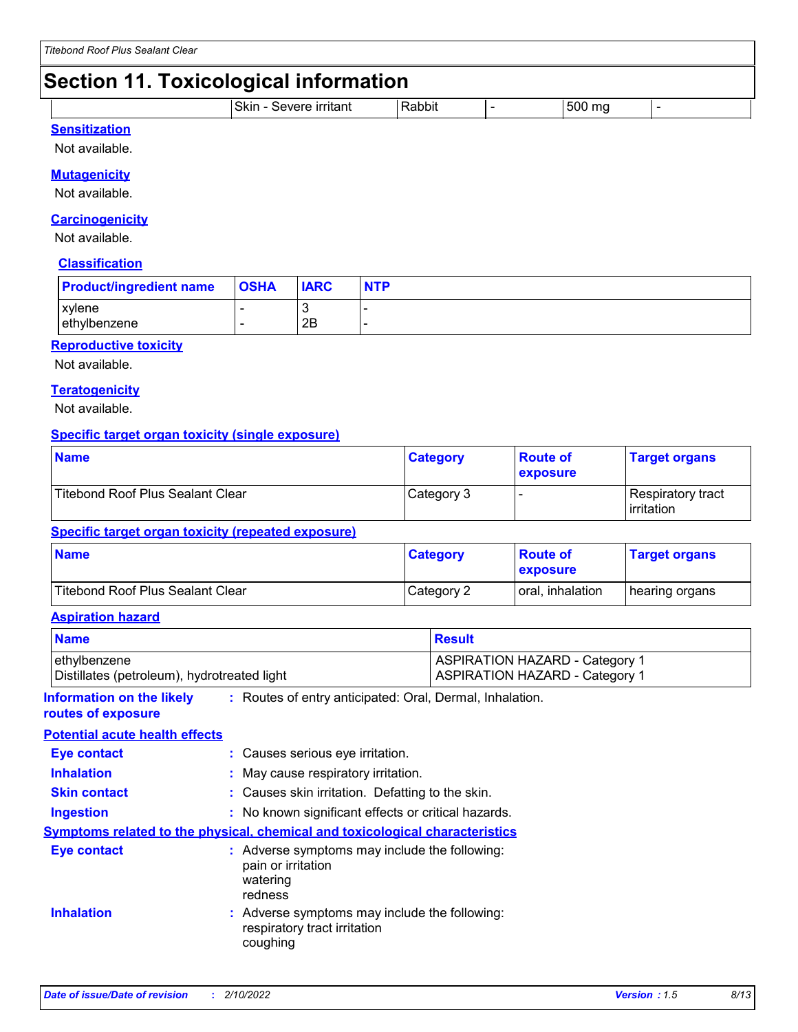### **Section 11. Toxicological information**

| ___                                                |          |                      |  |
|----------------------------------------------------|----------|----------------------|--|
| .<br>.<br>וו אר<br>$\blacksquare$<br>יי<br>ืี่⊐ll⊾ | .<br>וחנ | - - -<br>ו ור:<br>тк |  |
|                                                    |          |                      |  |

#### **Sensitization**

Not available.

#### **Mutagenicity**

Not available.

#### **Carcinogenicity**

Not available.

#### **Classification**

| <b>Product/ingredient name</b> | <b>OSHA</b> | <b>IARC</b> | <b>NTP</b> |
|--------------------------------|-------------|-------------|------------|
| <b>xvlene</b><br>ethylbenzene  |             | 2B          |            |

#### **Reproductive toxicity**

Not available.

#### **Teratogenicity**

Not available.

#### **Specific target organ toxicity (single exposure)**

| <b>Name</b>                             | <b>Category</b> | <b>Route of</b><br><b>exposure</b> | <b>Target organs</b>              |
|-----------------------------------------|-----------------|------------------------------------|-----------------------------------|
| <b>Titebond Roof Plus Sealant Clear</b> | Category 3      |                                    | Respiratory tract<br>l irritation |

#### **Specific target organ toxicity (repeated exposure)**

| <b>Name</b>                      | <b>Category</b> | <b>Route of</b><br><b>exposure</b> | <b>Target organs</b> |
|----------------------------------|-----------------|------------------------------------|----------------------|
| Titebond Roof Plus Sealant Clear | Category 2      | oral, inhalation                   | hearing organs       |

#### **Aspiration hazard**

| <b>Name</b>                                                 |                                                                                            | <b>Result</b>                                                                  |  |  |
|-------------------------------------------------------------|--------------------------------------------------------------------------------------------|--------------------------------------------------------------------------------|--|--|
| ethylbenzene<br>Distillates (petroleum), hydrotreated light |                                                                                            | <b>ASPIRATION HAZARD - Category 1</b><br><b>ASPIRATION HAZARD - Category 1</b> |  |  |
| <b>Information on the likely</b><br>routes of exposure      | : Routes of entry anticipated: Oral, Dermal, Inhalation.                                   |                                                                                |  |  |
| <b>Potential acute health effects</b>                       |                                                                                            |                                                                                |  |  |
| <b>Eye contact</b>                                          | : Causes serious eye irritation.                                                           |                                                                                |  |  |
| <b>Inhalation</b>                                           | : May cause respiratory irritation.                                                        |                                                                                |  |  |
| <b>Skin contact</b>                                         |                                                                                            | : Causes skin irritation. Defatting to the skin.                               |  |  |
| <b>Ingestion</b>                                            |                                                                                            | : No known significant effects or critical hazards.                            |  |  |
|                                                             | <b>Symptoms related to the physical, chemical and toxicological characteristics</b>        |                                                                                |  |  |
| Eye contact                                                 | : Adverse symptoms may include the following:<br>pain or irritation<br>watering<br>redness |                                                                                |  |  |
| <b>Inhalation</b>                                           | : Adverse symptoms may include the following:<br>respiratory tract irritation<br>coughing  |                                                                                |  |  |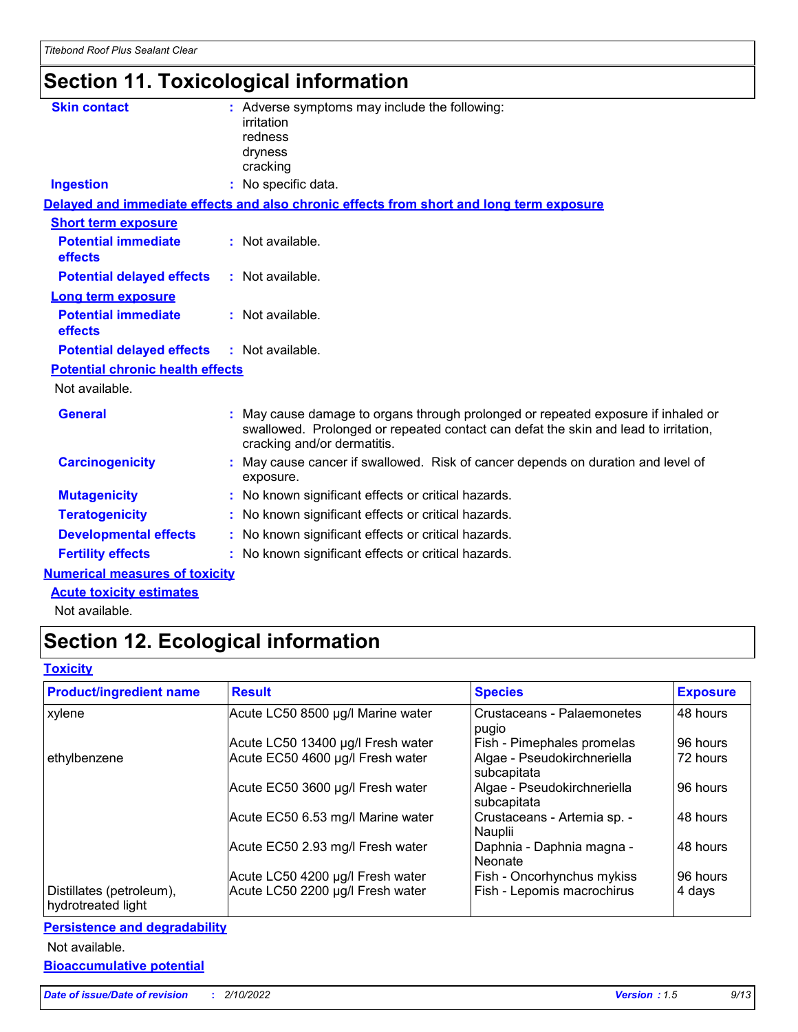### **Section 11. Toxicological information**

| <b>Skin contact</b>                     | : Adverse symptoms may include the following:<br><i>irritation</i><br>redness<br>dryness<br>cracking                                                                                                  |
|-----------------------------------------|-------------------------------------------------------------------------------------------------------------------------------------------------------------------------------------------------------|
| <b>Ingestion</b>                        | : No specific data.                                                                                                                                                                                   |
|                                         | Delayed and immediate effects and also chronic effects from short and long term exposure                                                                                                              |
| <b>Short term exposure</b>              |                                                                                                                                                                                                       |
| <b>Potential immediate</b><br>effects   | : Not available.                                                                                                                                                                                      |
| <b>Potential delayed effects</b>        | : Not available.                                                                                                                                                                                      |
| Long term exposure                      |                                                                                                                                                                                                       |
| <b>Potential immediate</b><br>effects   | : Not available.                                                                                                                                                                                      |
| <b>Potential delayed effects</b>        | : Not available.                                                                                                                                                                                      |
| <b>Potential chronic health effects</b> |                                                                                                                                                                                                       |
| Not available.                          |                                                                                                                                                                                                       |
| <b>General</b>                          | May cause damage to organs through prolonged or repeated exposure if inhaled or<br>swallowed. Prolonged or repeated contact can defat the skin and lead to irritation,<br>cracking and/or dermatitis. |
| <b>Carcinogenicity</b>                  | May cause cancer if swallowed. Risk of cancer depends on duration and level of<br>exposure.                                                                                                           |
| <b>Mutagenicity</b>                     | : No known significant effects or critical hazards.                                                                                                                                                   |
| <b>Teratogenicity</b>                   | : No known significant effects or critical hazards.                                                                                                                                                   |
| <b>Developmental effects</b>            | : No known significant effects or critical hazards.                                                                                                                                                   |
| <b>Fertility effects</b>                | : No known significant effects or critical hazards.                                                                                                                                                   |
| <b>Numerical measures of toxicity</b>   |                                                                                                                                                                                                       |
| <b>Acute toxicity estimates</b>         |                                                                                                                                                                                                       |

Not available.

### **Section 12. Ecological information**

#### **Toxicity**

| <b>Product/ingredient name</b>                 | <b>Result</b>                     | <b>Species</b>                             | <b>Exposure</b> |
|------------------------------------------------|-----------------------------------|--------------------------------------------|-----------------|
| xylene                                         | Acute LC50 8500 µg/l Marine water | Crustaceans - Palaemonetes<br>pugio        | 48 hours        |
|                                                | Acute LC50 13400 µg/l Fresh water | Fish - Pimephales promelas                 | 96 hours        |
| ethylbenzene                                   | Acute EC50 4600 µg/l Fresh water  | Algae - Pseudokirchneriella<br>subcapitata | 72 hours        |
|                                                | Acute EC50 3600 µg/l Fresh water  | Algae - Pseudokirchneriella<br>subcapitata | 96 hours        |
|                                                | Acute EC50 6.53 mg/l Marine water | Crustaceans - Artemia sp. -<br>Nauplii     | 48 hours        |
|                                                | Acute EC50 2.93 mg/l Fresh water  | Daphnia - Daphnia magna -<br>Neonate       | 48 hours        |
|                                                | Acute LC50 4200 µg/l Fresh water  | Fish - Oncorhynchus mykiss                 | 96 hours        |
| Distillates (petroleum),<br>hydrotreated light | Acute LC50 2200 µg/l Fresh water  | Fish - Lepomis macrochirus                 | 4 days          |

#### **Persistence and degradability**

Not available.

**Bioaccumulative potential**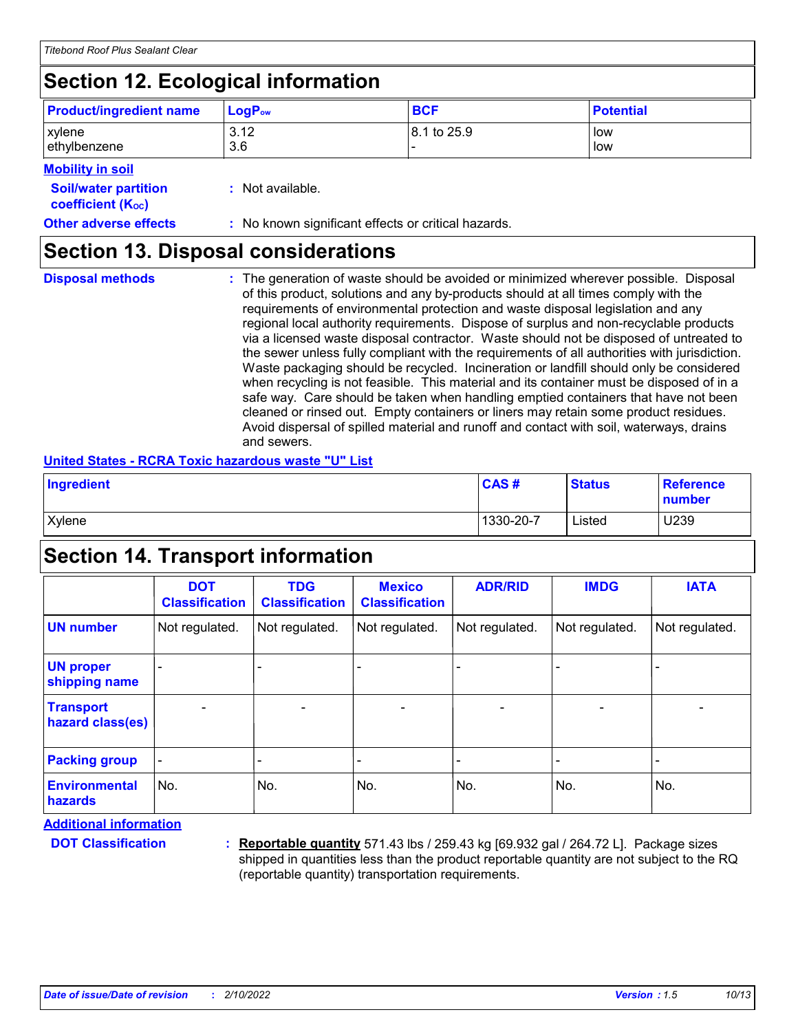### **Section 12. Ecological information**

| <b>Product/ingredient name</b> | $LogP_{ow}$ | <b>BCF</b>  | <b>Potential</b> |
|--------------------------------|-------------|-------------|------------------|
| xylene                         | 3.12        | 8.1 to 25.9 | low              |
| ethylbenzene                   | 3.6         |             | low              |

**Mobility in soil**

| <b>INDUITIEY III JUIL</b>                                     |                                                     |
|---------------------------------------------------------------|-----------------------------------------------------|
| <b>Soil/water partition</b><br>coefficient (K <sub>oc</sub> ) | : Not available.                                    |
| <b>Other adverse effects</b>                                  | : No known significant effects or critical hazards. |

### **Section 13. Disposal considerations**

The generation of waste should be avoided or minimized wherever possible. Disposal of this product, solutions and any by-products should at all times comply with the requirements of environmental protection and waste disposal legislation and any regional local authority requirements. Dispose of surplus and non-recyclable products via a licensed waste disposal contractor. Waste should not be disposed of untreated to the sewer unless fully compliant with the requirements of all authorities with jurisdiction. Waste packaging should be recycled. Incineration or landfill should only be considered when recycling is not feasible. This material and its container must be disposed of in a safe way. Care should be taken when handling emptied containers that have not been cleaned or rinsed out. Empty containers or liners may retain some product residues. Avoid dispersal of spilled material and runoff and contact with soil, waterways, drains and sewers. **Disposal methods :**

#### **United States - RCRA Toxic hazardous waste "U" List**

| Ingredient | CAS#      | <b>Status</b> | Reference<br>number |
|------------|-----------|---------------|---------------------|
| Xylene     | 1330-20-7 | Listed        | U239                |

### **Section 14. Transport information**

|                                      | <b>DOT</b><br><b>Classification</b> | <b>TDG</b><br><b>Classification</b> | <b>Mexico</b><br><b>Classification</b> | <b>ADR/RID</b> | <b>IMDG</b>              | <b>IATA</b>              |
|--------------------------------------|-------------------------------------|-------------------------------------|----------------------------------------|----------------|--------------------------|--------------------------|
| <b>UN number</b>                     | Not regulated.                      | Not regulated.                      | Not regulated.                         | Not regulated. | Not regulated.           | Not regulated.           |
| <b>UN proper</b><br>shipping name    |                                     |                                     |                                        |                |                          |                          |
| <b>Transport</b><br>hazard class(es) |                                     |                                     | $\blacksquare$                         | $\blacksquare$ | $\blacksquare$           |                          |
| <b>Packing group</b>                 |                                     |                                     |                                        |                | $\overline{\phantom{a}}$ | $\overline{\phantom{0}}$ |
| <b>Environmental</b><br>hazards      | No.                                 | No.                                 | No.                                    | No.            | No.                      | No.                      |

**Additional information**

**DOT Classification :**

**Reportable quantity** 571.43 lbs / 259.43 kg [69.932 gal / 264.72 L]. Package sizes shipped in quantities less than the product reportable quantity are not subject to the RQ (reportable quantity) transportation requirements.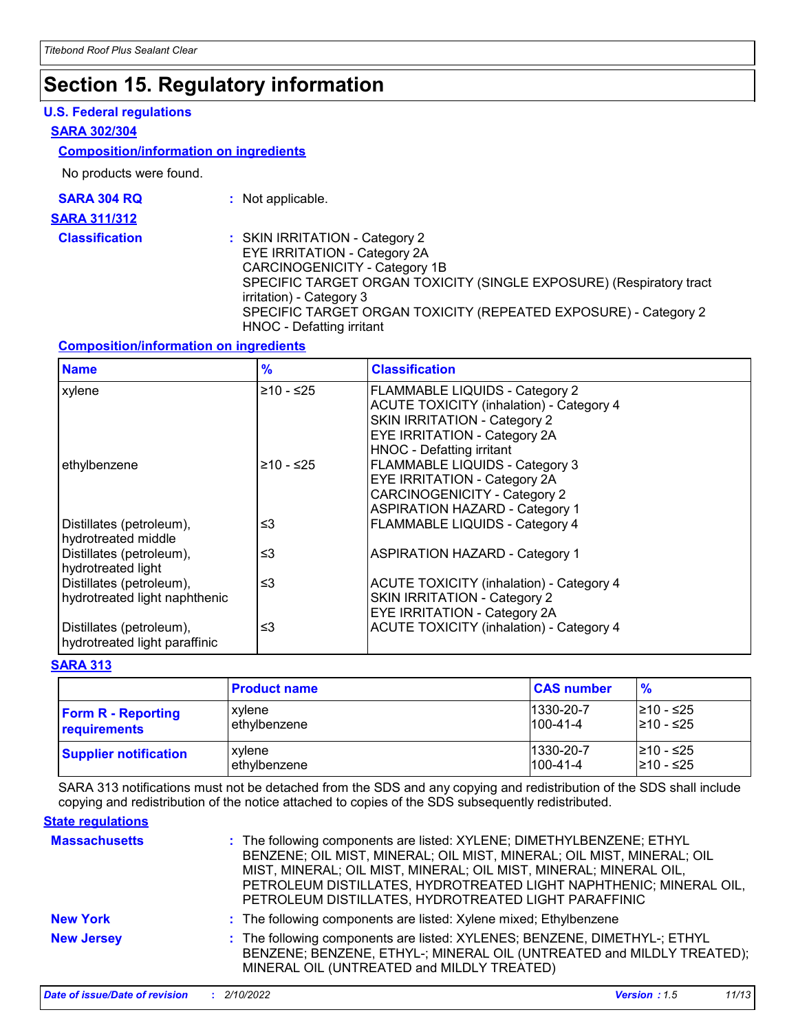### **Section 15. Regulatory information**

#### **U.S. Federal regulations**

#### **SARA 302/304**

#### **Composition/information on ingredients**

No products were found.

| <b>SARA 304 RQ</b>  |  |
|---------------------|--|
| <b>SARA 311/312</b> |  |
|                     |  |

**:** Not applicable.

**Classification :** SKIN IRRITATION - Category 2 EYE IRRITATION - Category 2A CARCINOGENICITY - Category 1B SPECIFIC TARGET ORGAN TOXICITY (SINGLE EXPOSURE) (Respiratory tract irritation) - Category 3 SPECIFIC TARGET ORGAN TOXICITY (REPEATED EXPOSURE) - Category 2 HNOC - Defatting irritant

#### **Composition/information on ingredients**

| <b>Name</b>                                               | $\frac{9}{6}$ | <b>Classification</b>                                                                                                                                                                               |
|-----------------------------------------------------------|---------------|-----------------------------------------------------------------------------------------------------------------------------------------------------------------------------------------------------|
| xylene                                                    | $≥10 - ≤25$   | <b>FLAMMABLE LIQUIDS - Category 2</b><br><b>ACUTE TOXICITY (inhalation) - Category 4</b><br>SKIN IRRITATION - Category 2<br><b>EYE IRRITATION - Category 2A</b><br><b>HNOC - Defatting irritant</b> |
| ethylbenzene                                              | ≥10 - ≤25     | <b>FLAMMABLE LIQUIDS - Category 3</b><br>EYE IRRITATION - Category 2A<br><b>CARCINOGENICITY - Category 2</b><br><b>ASPIRATION HAZARD - Category 1</b>                                               |
| Distillates (petroleum),<br>hydrotreated middle           | ≤3            | <b>FLAMMABLE LIQUIDS - Category 4</b>                                                                                                                                                               |
| Distillates (petroleum),<br>hydrotreated light            | ≤3            | <b>ASPIRATION HAZARD - Category 1</b>                                                                                                                                                               |
| Distillates (petroleum),<br>hydrotreated light naphthenic | ≤3            | <b>ACUTE TOXICITY (inhalation) - Category 4</b><br><b>SKIN IRRITATION - Category 2</b><br>EYE IRRITATION - Category 2A                                                                              |
| Distillates (petroleum),<br>hydrotreated light paraffinic | ≤3            | ACUTE TOXICITY (inhalation) - Category 4                                                                                                                                                            |

#### **SARA 313**

|                              | <b>Product name</b> | <b>CAS number</b> | $\frac{9}{6}$ |
|------------------------------|---------------------|-------------------|---------------|
| <b>Form R - Reporting</b>    | xylene              | 1330-20-7         | l≥10 - ≤25    |
| requirements                 | ethylbenzene        | $1100 - 41 - 4$   | 210 - ≤25     |
| <b>Supplier notification</b> | xylene              | 1330-20-7         | l≥10 - ≤25    |
|                              | ethylbenzene        | $1100 - 41 - 4$   | 210 - ≤25     |

SARA 313 notifications must not be detached from the SDS and any copying and redistribution of the SDS shall include copying and redistribution of the notice attached to copies of the SDS subsequently redistributed.

#### **State regulations**

| <b>Massachusetts</b> | : The following components are listed: XYLENE; DIMETHYLBENZENE; ETHYL<br>BENZENE; OIL MIST, MINERAL; OIL MIST, MINERAL; OIL MIST, MINERAL; OIL<br>MIST, MINERAL; OIL MIST, MINERAL; OIL MIST, MINERAL; MINERAL OIL,<br>PETROLEUM DISTILLATES, HYDROTREATED LIGHT NAPHTHENIC; MINERAL OIL,<br>PETROLEUM DISTILLATES, HYDROTREATED LIGHT PARAFFINIC |
|----------------------|---------------------------------------------------------------------------------------------------------------------------------------------------------------------------------------------------------------------------------------------------------------------------------------------------------------------------------------------------|
| <b>New York</b>      | : The following components are listed: Xylene mixed; Ethylbenzene                                                                                                                                                                                                                                                                                 |
| <b>New Jersey</b>    | : The following components are listed: XYLENES; BENZENE, DIMETHYL-; ETHYL<br>BENZENE; BENZENE, ETHYL-; MINERAL OIL (UNTREATED and MILDLY TREATED);<br>MINERAL OIL (UNTREATED and MILDLY TREATED)                                                                                                                                                  |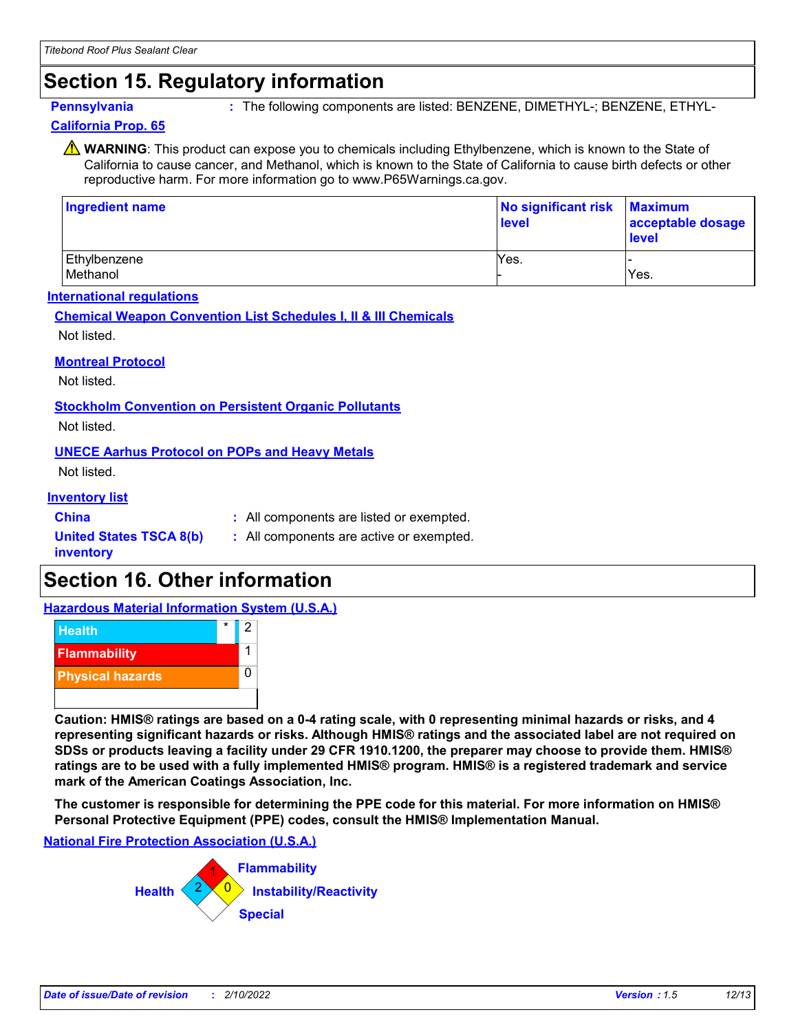### **Section 15. Regulatory information**

**Pennsylvania 19.1 The following components are listed: BENZENE, DIMETHYL-; BENZENE, ETHYL-**

#### **California Prop. 65**

**A** WARNING: This product can expose you to chemicals including Ethylbenzene, which is known to the State of California to cause cancer, and Methanol, which is known to the State of California to cause birth defects or other reproductive harm. For more information go to www.P65Warnings.ca.gov.

| Ingredient name          | No significant risk<br>level | <b>Maximum</b><br>acceptable dosage<br><b>level</b> |
|--------------------------|------------------------------|-----------------------------------------------------|
| Ethylbenzene<br>Methanol | Yes.                         | Yes.                                                |

#### **International regulations**

**Chemical Weapon Convention List Schedules I, II & III Chemicals**

Not listed.

#### **Montreal Protocol**

Not listed.

**Stockholm Convention on Persistent Organic Pollutants**

Not listed.

#### **UNECE Aarhus Protocol on POPs and Heavy Metals**

Not listed.

#### **Inventory list**

**China :** All components are listed or exempted.

#### **United States TSCA 8(b) inventory**

**:** All components are active or exempted.

### **Section 16. Other information**

**Hazardous Material Information System (U.S.A.)**



**Caution: HMIS® ratings are based on a 0-4 rating scale, with 0 representing minimal hazards or risks, and 4 representing significant hazards or risks. Although HMIS® ratings and the associated label are not required on SDSs or products leaving a facility under 29 CFR 1910.1200, the preparer may choose to provide them. HMIS® ratings are to be used with a fully implemented HMIS® program. HMIS® is a registered trademark and service mark of the American Coatings Association, Inc.**

**The customer is responsible for determining the PPE code for this material. For more information on HMIS® Personal Protective Equipment (PPE) codes, consult the HMIS® Implementation Manual.**

**National Fire Protection Association (U.S.A.)**